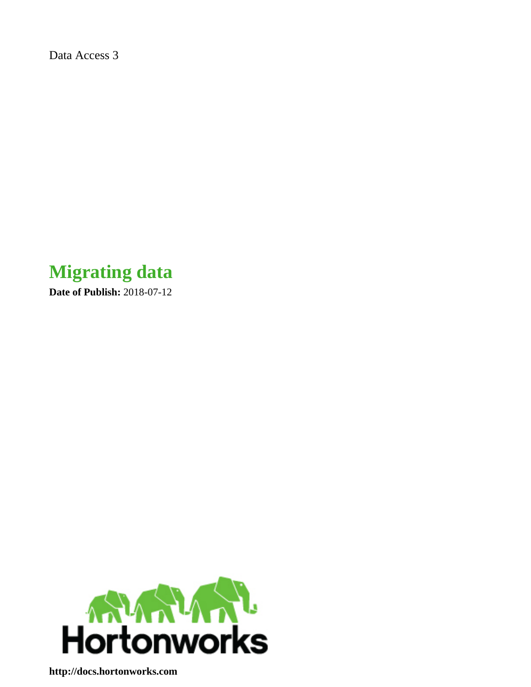Data Access 3

**Migrating data**

**Date of Publish:** 2018-07-12



**<http://docs.hortonworks.com>**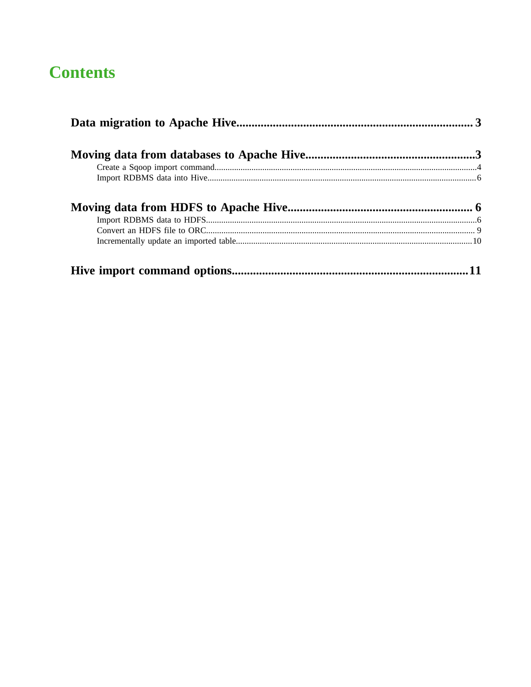# **Contents**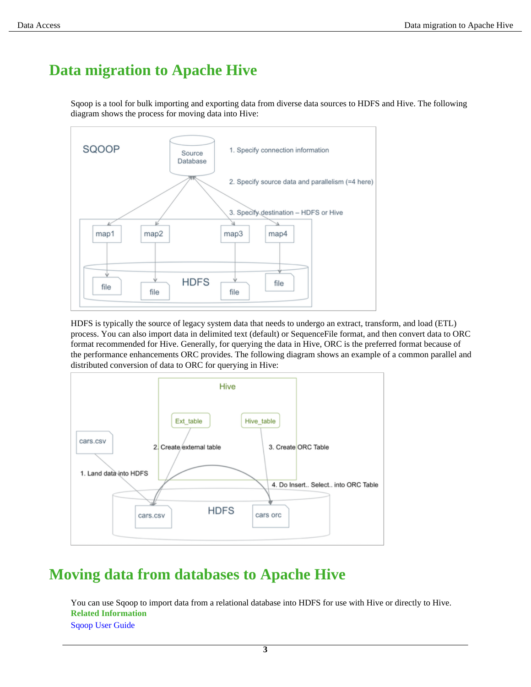# <span id="page-2-0"></span>**Data migration to Apache Hive**

Sqoop is a tool for bulk importing and exporting data from diverse data sources to HDFS and Hive. The following diagram shows the process for moving data into Hive:



HDFS is typically the source of legacy system data that needs to undergo an extract, transform, and load (ETL) process. You can also import data in delimited text (default) or SequenceFile format, and then convert data to ORC format recommended for Hive. Generally, for querying the data in Hive, ORC is the preferred format because of the performance enhancements ORC provides. The following diagram shows an example of a common parallel and distributed conversion of data to ORC for querying in Hive:



# <span id="page-2-1"></span>**Moving data from databases to Apache Hive**

You can use Sqoop to import data from a relational database into HDFS for use with Hive or directly to Hive. **Related Information** [Sqoop User Guide](https://sqoop.apache.org/docs/1.4.7/SqoopUserGuide.html)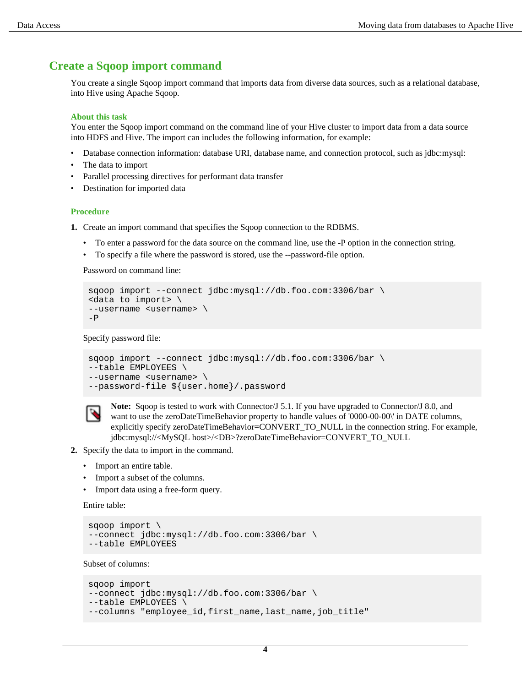## <span id="page-3-0"></span>**Create a Sqoop import command**

You create a single Sqoop import command that imports data from diverse data sources, such as a relational database, into Hive using Apache Sqoop.

#### **About this task**

You enter the Sqoop import command on the command line of your Hive cluster to import data from a data source into HDFS and Hive. The import can includes the following information, for example:

- Database connection information: database URI, database name, and connection protocol, such as jdbc:mysql:
- The data to import
- Parallel processing directives for performant data transfer
- Destination for imported data

#### **Procedure**

- **1.** Create an import command that specifies the Sqoop connection to the RDBMS.
	- To enter a password for the data source on the command line, use the -P option in the connection string.
	- To specify a file where the password is stored, use the --password-file option.

Password on command line:

```
sqoop import --connect jdbc:mysql://db.foo.com:3306/bar \
<data to import> \
--username <username> \
-P
```
Specify password file:

```
sqoop import --connect jdbc:mysql://db.foo.com:3306/bar \
--table EMPLOYEES \
--username <username> \
--password-file ${user.home}/.password
```


**Note:** Sqoop is tested to work with Connector/J 5.1. If you have upgraded to Connector/J 8.0, and want to use the zeroDateTimeBehavior property to handle values of '0000-00-00\' in DATE columns, explicitly specify zeroDateTimeBehavior=CONVERT\_TO\_NULL in the connection string. For example, jdbc:mysql://<MySQL host>/<DB>?zeroDateTimeBehavior=CONVERT\_TO\_NULL

- **2.** Specify the data to import in the command.
	- Import an entire table.
	- Import a subset of the columns.
	- Import data using a free-form query.

Entire table:

```
sqoop import \
--connect jdbc:mysql://db.foo.com:3306/bar \
--table EMPLOYEES
```
Subset of columns:

```
sqoop import 
--connect jdbc:mysql://db.foo.com:3306/bar \
--table EMPLOYEES \
--columns "employee_id,first_name,last_name,job_title"
```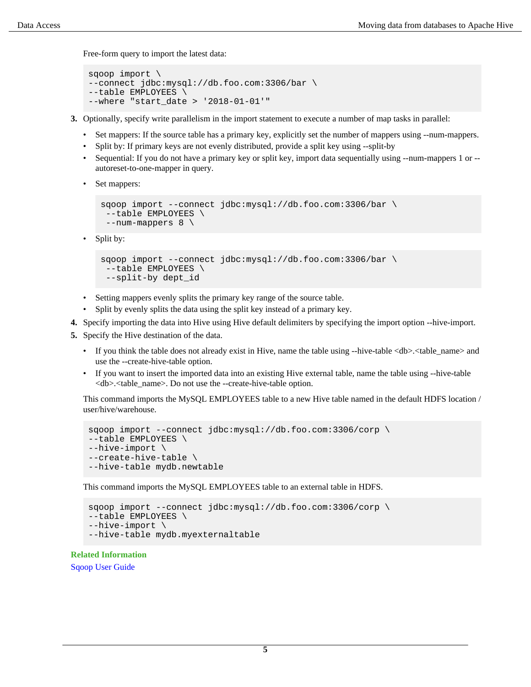Free-form query to import the latest data:

```
sqoop import \
--connect jdbc:mysql://db.foo.com:3306/bar \
--table EMPLOYEES \
--where "start_date > '2018-01-01'"
```
- **3.** Optionally, specify write parallelism in the import statement to execute a number of map tasks in parallel:
	- Set mappers: If the source table has a primary key, explicitly set the number of mappers using --num-mappers.
	- Split by: If primary keys are not evenly distributed, provide a split key using --split-by
	- Sequential: If you do not have a primary key or split key, import data sequentially using --num-mappers 1 or autoreset-to-one-mapper in query.
	- Set mappers:

```
sqoop import --connect jdbc:mysql://db.foo.com:3306/bar \
 --table EMPLOYEES \
  --num-mappers 8 \
```
• Split by:

```
sqoop import --connect jdbc:mysql://db.foo.com:3306/bar \
  --table EMPLOYEES \
  --split-by dept_id
```
- Setting mappers evenly splits the primary key range of the source table.
- Split by evenly splits the data using the split key instead of a primary key.
- **4.** Specify importing the data into Hive using Hive default delimiters by specifying the import option --hive-import.
- **5.** Specify the Hive destination of the data.
	- If you think the table does not already exist in Hive, name the table using --hive-table  $\langle$ db>. $\langle$ table\_name> and use the --create-hive-table option.
	- If you want to insert the imported data into an existing Hive external table, name the table using --hive-table <db>.<table\_name>. Do not use the --create-hive-table option.

This command imports the MySQL EMPLOYEES table to a new Hive table named in the default HDFS location / user/hive/warehouse.

```
sqoop import --connect jdbc:mysql://db.foo.com:3306/corp \
--table EMPLOYEES \
--hive-import \
--create-hive-table \
--hive-table mydb.newtable
```
This command imports the MySQL EMPLOYEES table to an external table in HDFS.

```
sqoop import --connect jdbc:mysql://db.foo.com:3306/corp \
--table EMPLOYEES \
--hive-import \
--hive-table mydb.myexternaltable
```
**Related Information**

[Sqoop User Guide](https://sqoop.apache.org/docs/1.4.7/SqoopUserGuide.html)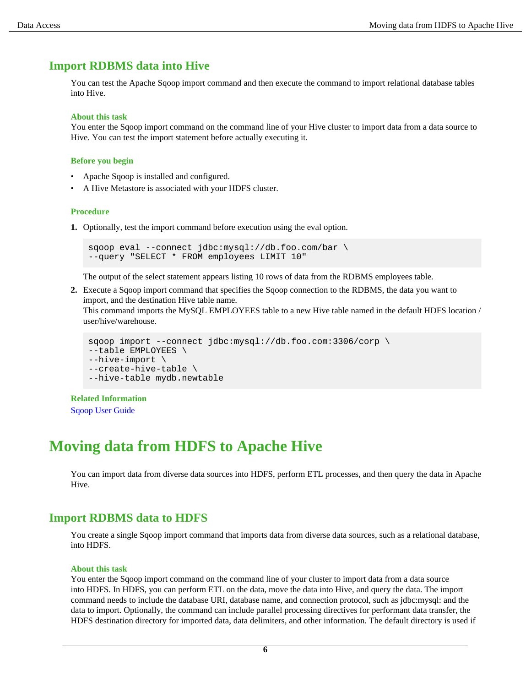### <span id="page-5-0"></span>**Import RDBMS data into Hive**

You can test the Apache Sqoop import command and then execute the command to import relational database tables into Hive.

#### **About this task**

You enter the Sqoop import command on the command line of your Hive cluster to import data from a data source to Hive. You can test the import statement before actually executing it.

#### **Before you begin**

- Apache Sqoop is installed and configured.
- A Hive Metastore is associated with your HDFS cluster.

#### **Procedure**

**1.** Optionally, test the import command before execution using the eval option.

```
sqoop eval --connect jdbc:mysql://db.foo.com/bar \
--query "SELECT * FROM employees LIMIT 10"
```
The output of the select statement appears listing 10 rows of data from the RDBMS employees table.

**2.** Execute a Sqoop import command that specifies the Sqoop connection to the RDBMS, the data you want to import, and the destination Hive table name.

This command imports the MySQL EMPLOYEES table to a new Hive table named in the default HDFS location / user/hive/warehouse.

```
sqoop import --connect jdbc:mysql://db.foo.com:3306/corp \
--table EMPLOYEES \
--hive-import \
--create-hive-table \
--hive-table mydb.newtable
```
## **Related Information**

[Sqoop User Guide](https://sqoop.apache.org/docs/1.4.7/SqoopUserGuide.html)

## <span id="page-5-1"></span>**Moving data from HDFS to Apache Hive**

You can import data from diverse data sources into HDFS, perform ETL processes, and then query the data in Apache Hive.

### <span id="page-5-2"></span>**Import RDBMS data to HDFS**

You create a single Sqoop import command that imports data from diverse data sources, such as a relational database, into HDFS.

#### **About this task**

You enter the Sqoop import command on the command line of your cluster to import data from a data source into HDFS. In HDFS, you can perform ETL on the data, move the data into Hive, and query the data. The import command needs to include the database URI, database name, and connection protocol, such as jdbc:mysql: and the data to import. Optionally, the command can include parallel processing directives for performant data transfer, the HDFS destination directory for imported data, data delimiters, and other information. The default directory is used if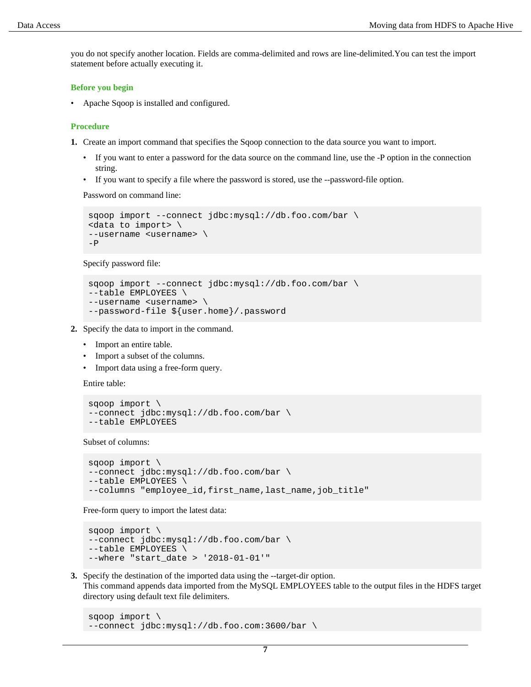you do not specify another location. Fields are comma-delimited and rows are line-delimited.You can test the import statement before actually executing it.

#### **Before you begin**

• Apache Sqoop is installed and configured.

#### **Procedure**

**1.** Create an import command that specifies the Sqoop connection to the data source you want to import.

- If you want to enter a password for the data source on the command line, use the -P option in the connection string.
- If you want to specify a file where the password is stored, use the --password-file option.

Password on command line:

```
sqoop import --connect jdbc:mysql://db.foo.com/bar \
<data to import> \
--username <username> \
-P
```
Specify password file:

```
sqoop import --connect jdbc:mysql://db.foo.com/bar \
--table EMPLOYEES \
--username <username> \
--password-file ${user.home}/.password
```
- **2.** Specify the data to import in the command.
	- Import an entire table.
	- Import a subset of the columns.
	- Import data using a free-form query.

Entire table:

```
sqoop import \
--connect jdbc:mysql://db.foo.com/bar \
--table EMPLOYEES
```
Subset of columns:

```
sqoop import \
--connect jdbc:mysql://db.foo.com/bar \
--table EMPLOYEES \
--columns "employee_id,first_name,last_name,job_title"
```
Free-form query to import the latest data:

```
sqoop import \
--connect jdbc:mysql://db.foo.com/bar \
--table EMPLOYEES \
--where "start_date > '2018-01-01'"
```
**3.** Specify the destination of the imported data using the --target-dir option. This command appends data imported from the MySQL EMPLOYEES table to the output files in the HDFS target directory using default text file delimiters.

sqoop import \ --connect jdbc:mysql://db.foo.com:3600/bar \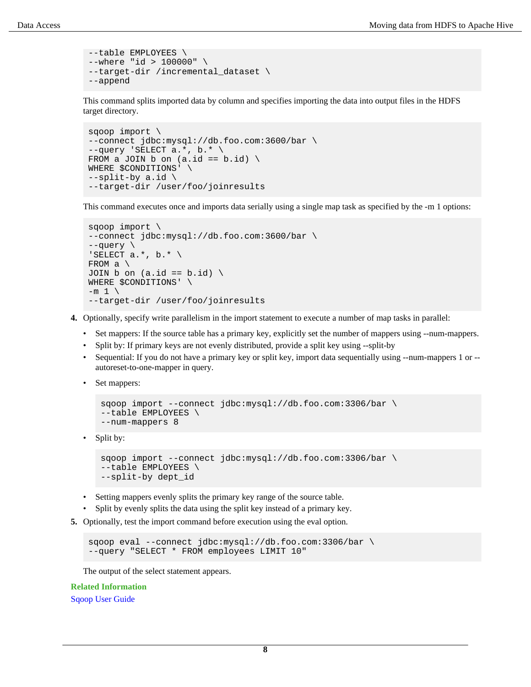```
--table EMPLOYEES \
--where "id > 100000" \
--target-dir /incremental_dataset \
--append
```
This command splits imported data by column and specifies importing the data into output files in the HDFS target directory.

```
sqoop import \
--connect jdbc:mysql://db.foo.com:3600/bar \
--query 'SELECT a.*, b.* \
FROM a JOIN b on (a.id == b.id)WHERE $CONDITIONS' \
--split-by a.id \n\--target-dir /user/foo/joinresults
```
This command executes once and imports data serially using a single map task as specified by the -m 1 options:

```
sqoop import \
--connect jdbc:mysql://db.foo.com:3600/bar \
--query \
'SELECT a.*, b.*FROM a \backslashJOIN b on (a.id == b.id))
WHERE $CONDITIONS' \
-m 1 \ \backslash--target-dir /user/foo/joinresults
```
- **4.** Optionally, specify write parallelism in the import statement to execute a number of map tasks in parallel:
	- Set mappers: If the source table has a primary key, explicitly set the number of mappers using --num-mappers.
	- Split by: If primary keys are not evenly distributed, provide a split key using --split-by
	- Sequential: If you do not have a primary key or split key, import data sequentially using --num-mappers 1 or autoreset-to-one-mapper in query.
	- Set mappers:

```
sqoop import --connect jdbc:mysql://db.foo.com:3306/bar \
--table EMPLOYEES \
--num-mappers 8
```
• Split by:

```
sqoop import --connect jdbc:mysql://db.foo.com:3306/bar \
--table EMPLOYEES \
--split-by dept_id
```
- Setting mappers evenly splits the primary key range of the source table.
- Split by evenly splits the data using the split key instead of a primary key.
- **5.** Optionally, test the import command before execution using the eval option.

```
sqoop eval --connect jdbc:mysql://db.foo.com:3306/bar \
--query "SELECT * FROM employees LIMIT 10"
```
The output of the select statement appears.

**Related Information**

[Sqoop User Guide](https://sqoop.apache.org/docs/1.4.7/SqoopUserGuide.html)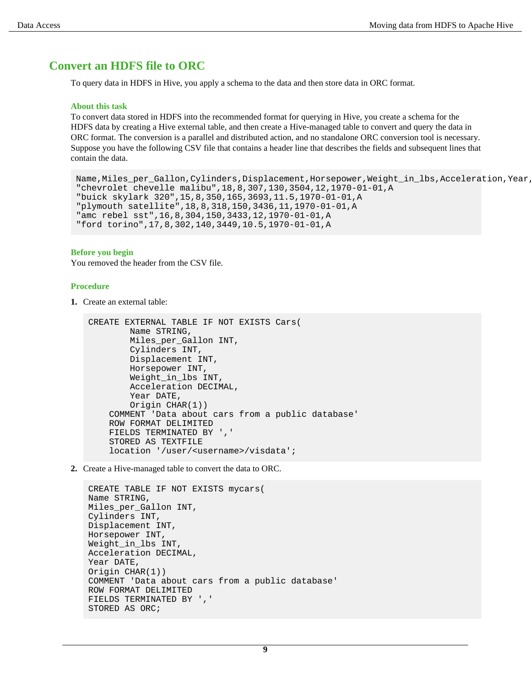## <span id="page-8-0"></span>**Convert an HDFS file to ORC**

To query data in HDFS in Hive, you apply a schema to the data and then store data in ORC format.

#### **About this task**

To convert data stored in HDFS into the recommended format for querying in Hive, you create a schema for the HDFS data by creating a Hive external table, and then create a Hive-managed table to convert and query the data in ORC format. The conversion is a parallel and distributed action, and no standalone ORC conversion tool is necessary. Suppose you have the following CSV file that contains a header line that describes the fields and subsequent lines that contain the data.

```
Name,Miles_per_Gallon,Cylinders,Displacement,Horsepower,Weight_in_lbs,Acceleration,Year
"chevrolet chevelle malibu",18,8,307,130,3504,12,1970-01-01,A
"buick skylark 320",15,8,350,165,3693,11.5,1970-01-01,A
"plymouth satellite",18,8,318,150,3436,11,1970-01-01,A
"amc rebel sst",16,8,304,150,3433,12,1970-01-01,A
"ford torino",17,8,302,140,3449,10.5,1970-01-01,A
```
#### **Before you begin**

You removed the header from the CSV file.

#### **Procedure**

**1.** Create an external table:

```
CREATE EXTERNAL TABLE IF NOT EXISTS Cars(
         Name STRING, 
        Miles per Gallon INT,
         Cylinders INT,
         Displacement INT,
         Horsepower INT, 
         Weight_in_lbs INT,
         Acceleration DECIMAL,
         Year DATE,
         Origin CHAR(1))
     COMMENT 'Data about cars from a public database'
     ROW FORMAT DELIMITED
     FIELDS TERMINATED BY ','
     STORED AS TEXTFILE
     location '/user/<username>/visdata';
```
**2.** Create a Hive-managed table to convert the data to ORC.

```
CREATE TABLE IF NOT EXISTS mycars(
Name STRING, 
Miles_per_Gallon INT,
Cylinders INT,
Displacement INT,
Horsepower INT, 
Weight_in_lbs INT,
Acceleration DECIMAL,
Year DATE,
Origin CHAR(1))
COMMENT 'Data about cars from a public database'
ROW FORMAT DELIMITED
FIELDS TERMINATED BY ','
STORED AS ORC;
```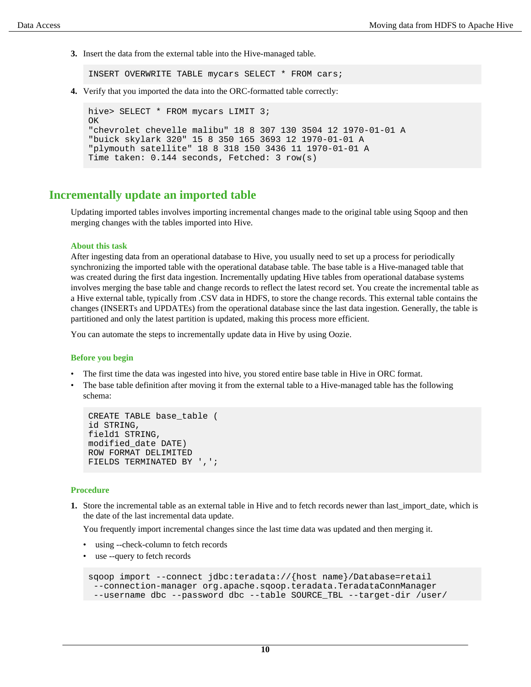**3.** Insert the data from the external table into the Hive-managed table.

INSERT OVERWRITE TABLE mycars SELECT \* FROM cars;

**4.** Verify that you imported the data into the ORC-formatted table correctly:

```
hive> SELECT * FROM mycars LIMIT 3;
OK
"chevrolet chevelle malibu" 18 8 307 130 3504 12 1970-01-01 A
"buick skylark 320" 15 8 350 165 3693 12 1970-01-01 A
"plymouth satellite" 18 8 318 150 3436 11 1970-01-01 A
Time taken: 0.144 seconds, Fetched: 3 row(s)
```
### <span id="page-9-0"></span>**Incrementally update an imported table**

Updating imported tables involves importing incremental changes made to the original table using Sqoop and then merging changes with the tables imported into Hive.

#### **About this task**

After ingesting data from an operational database to Hive, you usually need to set up a process for periodically synchronizing the imported table with the operational database table. The base table is a Hive-managed table that was created during the first data ingestion. Incrementally updating Hive tables from operational database systems involves merging the base table and change records to reflect the latest record set. You create the incremental table as a Hive external table, typically from .CSV data in HDFS, to store the change records. This external table contains the changes (INSERTs and UPDATEs) from the operational database since the last data ingestion. Generally, the table is partitioned and only the latest partition is updated, making this process more efficient.

You can automate the steps to incrementally update data in Hive by using Oozie.

#### **Before you begin**

- The first time the data was ingested into hive, you stored entire base table in Hive in ORC format.
- The base table definition after moving it from the external table to a Hive-managed table has the following schema:

```
CREATE TABLE base_table (
id STRING,
field1 STRING,
modified_date DATE)
ROW FORMAT DELIMITED
FIELDS TERMINATED BY ',';
```
#### **Procedure**

**1.** Store the incremental table as an external table in Hive and to fetch records newer than last\_import\_date, which is the date of the last incremental data update.

You frequently import incremental changes since the last time data was updated and then merging it.

- using --check-column to fetch records
- use --query to fetch records

```
sqoop import --connect jdbc:teradata://{host name}/Database=retail
  --connection-manager org.apache.sqoop.teradata.TeradataConnManager
  --username dbc --password dbc --table SOURCE_TBL --target-dir /user/
```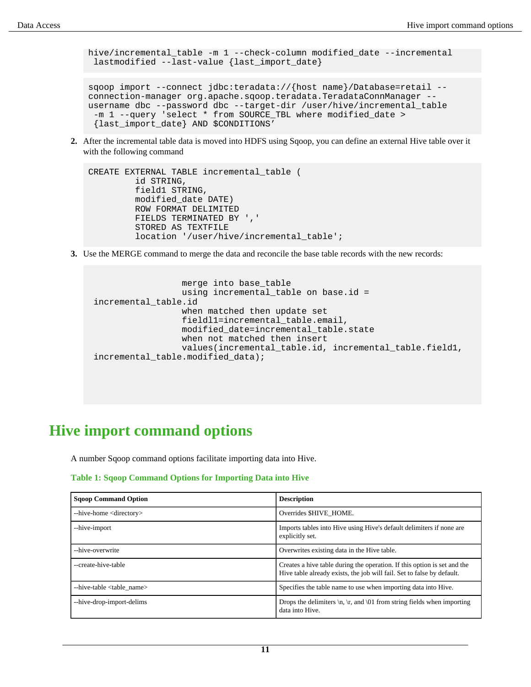```
hive/incremental_table -m 1 --check-column modified_date --incremental
  lastmodified --last-value {last_import_date}
```
sqoop import --connect jdbc:teradata://{host name}/Database=retail - connection-manager org.apache.sqoop.teradata.TeradataConnManager - username dbc --password dbc --target-dir /user/hive/incremental\_table -m 1 --query 'select \* from SOURCE\_TBL where modified\_date > {last\_import\_date} AND \$CONDITIONS'

**2.** After the incremental table data is moved into HDFS using Sqoop, you can define an external Hive table over it with the following command

```
CREATE EXTERNAL TABLE incremental_table (
          id STRING,
          field1 STRING,
          modified_date DATE)
          ROW FORMAT DELIMITED
          FIELDS TERMINATED BY ','
          STORED AS TEXTFILE
          location '/user/hive/incremental_table';
```
**3.** Use the MERGE command to merge the data and reconcile the base table records with the new records:

```
merge into base table
                 using incremental table on base.id =
 incremental_table.id
                  when matched then update set
                  fieldl1=incremental_table.email,
                  modified_date=incremental_table.state
                  when not matched then insert
                  values(incremental_table.id, incremental_table.field1,
 incremental_table.modified_data);
```
## <span id="page-10-0"></span>**Hive import command options**

A number Sqoop command options facilitate importing data into Hive.

#### **Table 1: Sqoop Command Options for Importing Data into Hive**

| <b>Sgoop Command Option</b>          | <b>Description</b>                                                                                                                                 |
|--------------------------------------|----------------------------------------------------------------------------------------------------------------------------------------------------|
| --hive-home <directory></directory>  | Overrides SHIVE HOME.                                                                                                                              |
| --hive-import                        | Imports tables into Hive using Hive's default delimiters if none are<br>explicitly set.                                                            |
| --hive-overwrite                     | Overwrites existing data in the Hive table.                                                                                                        |
| --create-hive-table                  | Creates a hive table during the operation. If this option is set and the<br>Hive table already exists, the job will fail. Set to false by default. |
| --hive-table <table name=""></table> | Specifies the table name to use when importing data into Hive.                                                                                     |
| --hive-drop-import-delims            | Drops the delimiters $\n\rightharpoonup$ n, $\rrbracket$ r, and $\lozenge$ 1 from string fields when importing<br>data into Hive.                  |